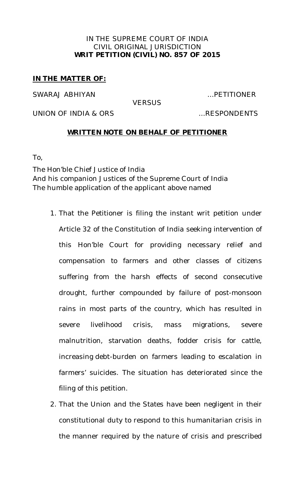### IN THE SUPREME COURT OF INDIA CIVIL ORIGINAL JURISDICTION **WRIT PETITION (CIVIL) NO. 857 OF 2015**

## **IN THE MATTER OF:**

SWARAJ ABHIYAN ...PETITIONER

**VERSUS** 

UNION OF INDIA & ORS ...RESPONDENTS

### **WRITTEN NOTE ON BEHALF OF PETITIONER**

To,

The Hon'ble Chief Justice of India And his companion Justices of the Supreme Court of India The humble application of the applicant above named

- 1. That the Petitioner is filing the instant writ petition under Article 32 of the Constitution of India seeking intervention of this Hon'ble Court for providing necessary relief and compensation to farmers and other classes of citizens suffering from the harsh effects of second consecutive drought, further compounded by failure of post-monsoon rains in most parts of the country, which has resulted in severe livelihood crisis, mass migrations, severe malnutrition, starvation deaths, fodder crisis for cattle, increasing debt-burden on farmers leading to escalation in farmers' suicides. The situation has deteriorated since the filing of this petition.
- 2. That the Union and the States have been negligent in their constitutional duty to respond to this humanitarian crisis in the manner required by the nature of crisis and prescribed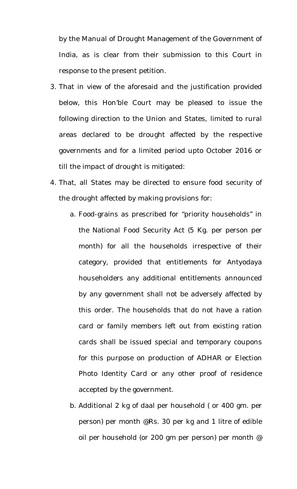by the Manual of Drought Management of the Government of India, as is clear from their submission to this Court in response to the present petition.

- 3. That in view of the aforesaid and the justification provided below, this Hon'ble Court may be pleased to issue the following direction to the Union and States, limited to rural areas declared to be drought affected by the respective governments and for a limited period upto October 2016 or till the impact of drought is mitigated:
- 4. That, all States may be directed to ensure food security of the drought affected by making provisions for:
	- a. Food-grains as prescribed for "priority households" in the National Food Security Act (5 Kg. per person per month) for all the households irrespective of their category, provided that entitlements for Antyodaya householders any additional entitlements announced by any government shall not be adversely affected by this order. The households that do not have a ration card or family members left out from existing ration cards shall be issued special and temporary coupons for this purpose on production of ADHAR or Election Photo Identity Card or any other proof of residence accepted by the government.
	- b. Additional 2 kg of daal per household ( or 400 gm. per person) per month [@Rs.](mailto:@Rs.) 30 per kg and 1 litre of edible oil per household (or 200 gm per person) per month @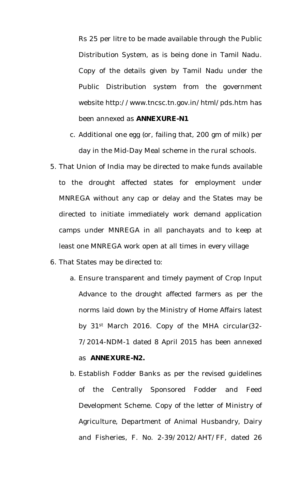Rs 25 per litre to be made available through the Public Distribution System, as is being done in Tamil Nadu. Copy of the details given by Tamil Nadu under the Public Distribution system from the government website<http://www.tncsc.tn.gov.in/html/pds.htm> has been annexed as **ANNEXURE-N1**

- c. Additional one egg (or, failing that, 200 gm of milk) per day in the Mid-Day Meal scheme in the rural schools.
- 5. That Union of India may be directed to make funds available to the drought affected states for employment under MNREGA without any cap or delay and the States may be directed to initiate immediately work demand application camps under MNREGA in all panchayats and to keep at least one MNREGA work open at all times in every village
- 6. That States may be directed to:
	- a. Ensure transparent and timely payment of Crop Input Advance to the drought affected farmers as per the norms laid down by the Ministry of Home Affairs latest by 31<sup>st</sup> March 2016. Copy of the MHA circular(32-7/2014-NDM-1 dated 8 April 2015 has been annexed as **ANNEXURE-N2.**
	- b. Establish Fodder Banks as per the revised guidelines of the Centrally Sponsored Fodder and Feed Development Scheme. Copy of the letter of Ministry of Agriculture, Department of Animal Husbandry, Dairy and Fisheries, F. No. 2-39/2012/AHT/FF, dated 26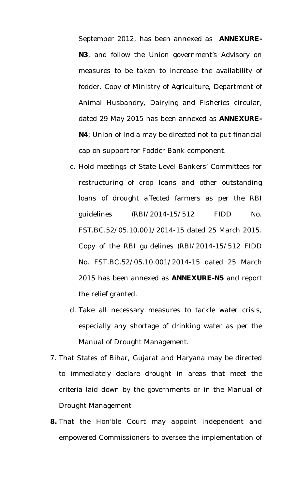September 2012, has been annexed as **ANNEXURE-N3**, and follow the Union government's Advisory on measures to be taken to increase the availability of fodder. Copy of Ministry of Agriculture, Department of Animal Husbandry, Dairying and Fisheries circular, dated 29 May 2015 has been annexed as **ANNEXURE-N4**; Union of India may be directed not to put financial cap on support for Fodder Bank component.

- c. Hold meetings of State Level Bankers' Committees for restructuring of crop loans and other outstanding loans of drought affected farmers as per the RBI guidelines (RBI/2014-15/512 FIDD No. FST.BC.52/05.10.001/2014-15 dated 25 March 2015. Copy of the RBI guidelines (RBI/2014-15/512 FIDD No. FST.BC.52/05.10.001/2014-15 dated 25 March 2015 has been annexed as **ANNEXURE-N5** and report the relief granted.
- d. Take all necessary measures to tackle water crisis, especially any shortage of drinking water as per the Manual of Drought Management.
- 7. That States of Bihar, Gujarat and Haryana may be directed to immediately declare drought in areas that meet the criteria laid down by the governments or in the Manual of Drought Management
- **8.** That the Hon'ble Court may appoint independent and empowered Commissioners to oversee the implementation of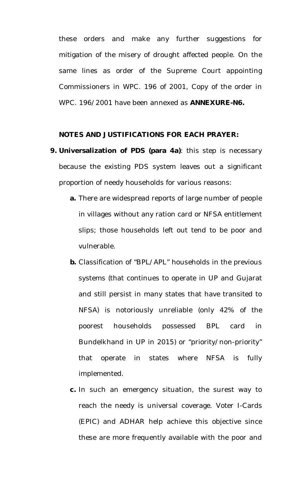these orders and make any further suggestions for mitigation of the misery of drought affected people. On the same lines as order of the Supreme Court appointing Commissioners in WPC. 196 of 2001, Copy of the order in WPC. 196/2001 have been annexed as **ANNEXURE-N6.**

### **NOTES AND JUSTIFICATIONS FOR EACH PRAYER:**

- **9. Universalization of PDS (para 4a)**: this step is necessary because the existing PDS system leaves out a significant proportion of needy households for various reasons:
	- **a.** There are widespread reports of large number of people in villages without any ration card or NFSA entitlement slips; those households left out tend to be poor and vulnerable.
	- **b.** Classification of "BPL/APL" households in the previous systems (that continues to operate in UP and Gujarat and still persist in many states that have transited to NFSA) is notoriously unreliable (only 42% of the poorest households possessed BPL card in Bundelkhand in UP in 2015) or "priority/non-priority" that operate in states where NFSA is fully implemented.
	- **c.** In such an emergency situation, the surest way to reach the needy is universal coverage. Voter I-Cards (EPIC) and ADHAR help achieve this objective since these are more frequently available with the poor and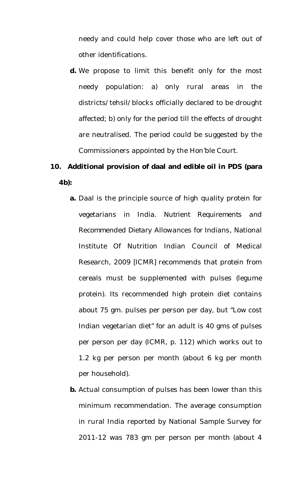needy and could help cover those who are left out of other identifications.

**d.** We propose to limit this benefit only for the most needy population: a) only rural areas in the districts/tehsil/blocks officially declared to be drought affected; b) only for the period till the effects of drought are neutralised. The period could be suggested by the Commissioners appointed by the Hon'ble Court.

# **10. Additional provision of daal and edible oil in PDS (para 4b):**

- **a.** Daal is the principle source of high quality protein for vegetarians in India. *Nutrient Requirements and Recommended Dietary Allowances for Indians*, National Institute Of Nutrition Indian Council of Medical Research, 2009 [ICMR] recommends that protein from cereals must be supplemented with pulses (legume protein). Its recommended high protein diet contains about 75 gm. pulses per person per day, but "Low cost Indian vegetarian diet" for an adult is 40 gms of pulses per person per day (ICMR, p. 112) which works out to 1.2 kg per person per month (about 6 kg per month per household).
- **b.** Actual consumption of pulses has been lower than this minimum recommendation. The average consumption in rural India reported by National Sample Survey for 2011-12 was 783 gm per person per month (about 4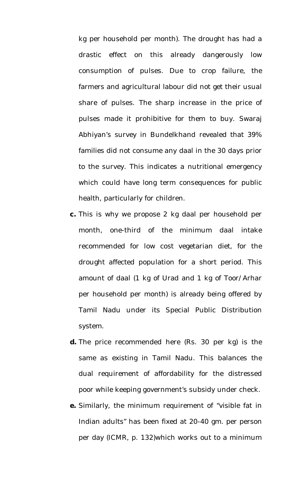kg per household per month). The drought has had a drastic effect on this already dangerously low consumption of pulses. Due to crop failure, the farmers and agricultural labour did not get their usual share of pulses. The sharp increase in the price of pulses made it prohibitive for them to buy. Swaraj Abhiyan's survey in Bundelkhand revealed that 39% families did not consume any daal in the 30 days prior to the survey. This indicates a nutritional emergency which could have long term consequences for public health, particularly for children.

- **c.** This is why we propose 2 kg daal per household per month, one-third of the minimum daal intake recommended for low cost vegetarian diet, for the drought affected population for a short period. This amount of daal (1 kg of Urad and 1 kg of Toor/Arhar per household per month) is already being offered by Tamil Nadu under its Special Public Distribution system.
- **d.** The price recommended here (Rs. 30 per kg) is the same as existing in Tamil Nadu. This balances the dual requirement of affordability for the distressed poor while keeping government's subsidy under check.
- **e.** Similarly, the minimum requirement of "visible fat in Indian adults" has been fixed at 20-40 gm. per person per day (ICMR, p. 132)which works out to a minimum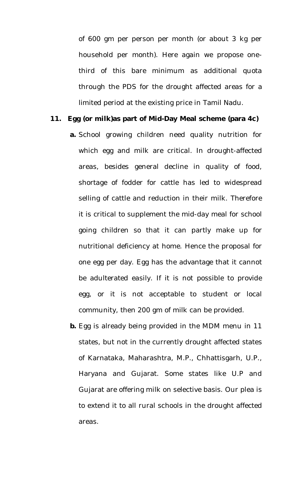of 600 gm per person per month (or about 3 kg per household per month). Here again we propose onethird of this bare minimum as additional quota through the PDS for the drought affected areas for a limited period at the existing price in Tamil Nadu.

#### **11. Egg (or milk)as part of Mid-Day Meal scheme (para 4c)**

- **a.** School growing children need quality nutrition for which egg and milk are critical. In drought-affected areas, besides general decline in quality of food, shortage of fodder for cattle has led to widespread selling of cattle and reduction in their milk. Therefore it is critical to supplement the mid-day meal for school going children so that it can partly make up for nutritional deficiency at home. Hence the proposal for one egg per day. Egg has the advantage that it cannot be adulterated easily. If it is not possible to provide egg, or it is not acceptable to student or local community, then 200 gm of milk can be provided.
- **b.** Egg is already being provided in the MDM menu in 11 states, but not in the currently drought affected states of Karnataka, Maharashtra, M.P., Chhattisgarh, U.P., Haryana and Gujarat. Some states like U.P and Gujarat are offering milk on selective basis. Our plea is to extend it to all rural schools in the drought affected areas.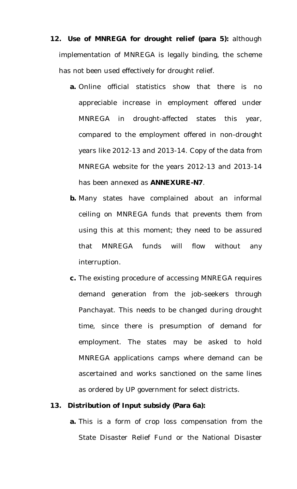- **12. Use of MNREGA for drought relief (para 5):** although implementation of MNREGA is legally binding, the scheme has not been used effectively for drought relief.
	- **a.** Online official statistics show that there is no appreciable increase in employment offered under MNREGA in drought-affected states this year, compared to the employment offered in non-drought years like 2012-13 and 2013-14. Copy of the data from MNREGA website for the years 2012-13 and 2013-14 has been annexed as **ANNEXURE-N7**.
	- **b.** Many states have complained about an informal ceiling on MNREGA funds that prevents them from using this at this moment; they need to be assured that MNREGA funds will flow without any interruption.
	- **c.** The existing procedure of accessing MNREGA requires demand generation from the job-seekers through Panchayat. This needs to be changed during drought time, since there is presumption of demand for employment. The states may be asked to hold MNREGA applications camps where demand can be ascertained and works sanctioned on the same lines as ordered by UP government for select districts.

#### **13. Distribution of Input subsidy (Para 6a):**

**a.** This is a form of crop loss compensation from the State Disaster Relief Fund or the National Disaster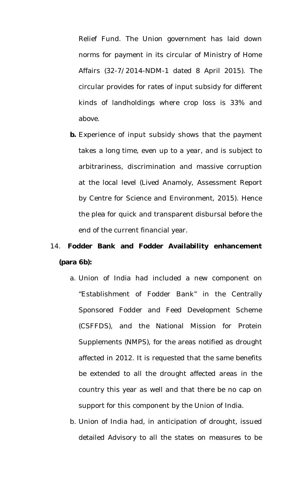Relief Fund. The Union government has laid down norms for payment in its circular of Ministry of Home Affairs (32-7/2014-NDM-1 dated 8 April 2015). The circular provides for rates of input subsidy for different kinds of landholdings where crop loss is 33% and above.

**b.** Experience of input subsidy shows that the payment takes a long time, even up to a year, and is subject to arbitrariness, discrimination and massive corruption at the local level (Lived Anamoly, Assessment Report by Centre for Science and Environment, 2015). Hence the plea for quick and transparent disbursal before the end of the current financial year.

# 14. **Fodder Bank and Fodder Availability enhancement (para 6b):**

- a. Union of India had included a new component on "Establishment of Fodder Bank" in the Centrally Sponsored Fodder and Feed Development Scheme (CSFFDS), and the National Mission for Protein Supplements (NMPS), for the areas notified as drought affected in 2012. It is requested that the same benefits be extended to all the drought affected areas in the country this year as well and that there be no cap on support for this component by the Union of India.
- b. Union of India had, in anticipation of drought, issued detailed Advisory to all the states on measures to be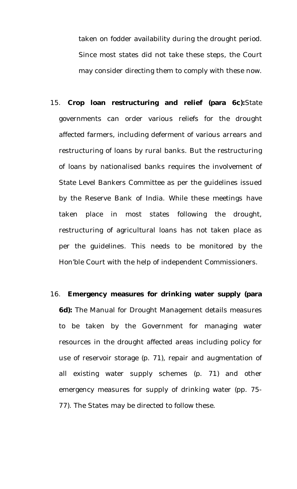taken on fodder availability during the drought period. Since most states did not take these steps, the Court may consider directing them to comply with these now.

- 15. **Crop loan restructuring and relief (para 6c):**State governments can order various reliefs for the drought affected farmers, including deferment of various arrears and restructuring of loans by rural banks. But the restructuring of loans by nationalised banks requires the involvement of State Level Bankers Committee as per the guidelines issued by the Reserve Bank of India. While these meetings have taken place in most states following the drought, restructuring of agricultural loans has not taken place as per the guidelines. This needs to be monitored by the Hon'ble Court with the help of independent Commissioners.
- 16. **Emergency measures for drinking water supply (para 6d):** The Manual for Drought Management details measures to be taken by the Government for managing water resources in the drought affected areas including policy for use of reservoir storage (p. 71), repair and augmentation of all existing water supply schemes (p. 71) and other emergency measures for supply of drinking water (pp. 75- 77). The States may be directed to follow these.